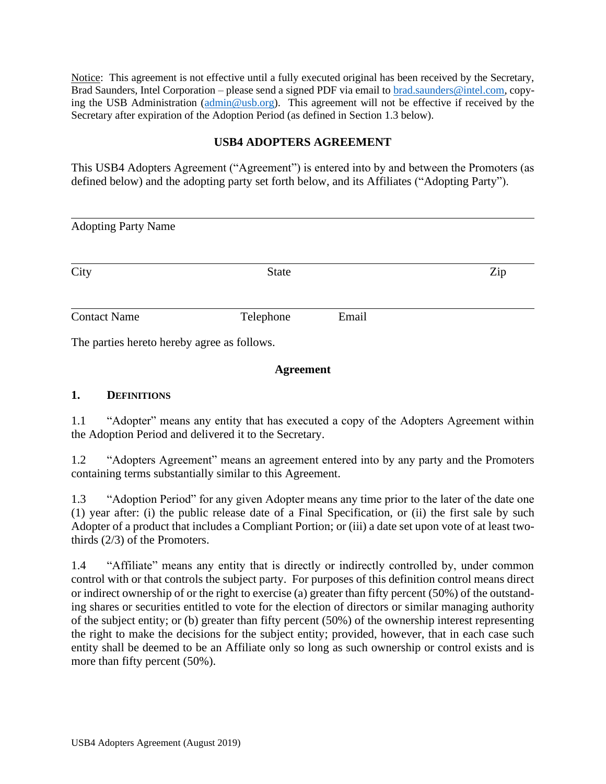Notice: This agreement is not effective until a fully executed original has been received by the Secretary, Brad Saunders, Intel Corporation – please send a signed PDF via email to [brad.saunders@intel.com,](mailto:brad.saunders@intel.com) copying the USB Administration [\(admin@usb.org\)](mailto:admin@usb.org). This agreement will not be effective if received by the Secretary after expiration of the Adoption Period (as defined in Section 1.3 below).

## **USB4 ADOPTERS AGREEMENT**

This USB4 Adopters Agreement ("Agreement") is entered into by and between the Promoters (as defined below) and the adopting party set forth below, and its Affiliates ("Adopting Party").

| <b>Adopting Party Name</b> |              |       |     |  |
|----------------------------|--------------|-------|-----|--|
| City                       | <b>State</b> |       | Zip |  |
| <b>Contact Name</b>        | Telephone    | Email |     |  |

The parties hereto hereby agree as follows.

#### **Agreement**

#### **1. DEFINITIONS**

1.1 "Adopter" means any entity that has executed a copy of the Adopters Agreement within the Adoption Period and delivered it to the Secretary.

1.2 "Adopters Agreement" means an agreement entered into by any party and the Promoters containing terms substantially similar to this Agreement.

1.3 "Adoption Period" for any given Adopter means any time prior to the later of the date one (1) year after: (i) the public release date of a Final Specification, or (ii) the first sale by such Adopter of a product that includes a Compliant Portion; or (iii) a date set upon vote of at least twothirds (2/3) of the Promoters.

1.4 "Affiliate" means any entity that is directly or indirectly controlled by, under common control with or that controls the subject party. For purposes of this definition control means direct or indirect ownership of or the right to exercise (a) greater than fifty percent (50%) of the outstanding shares or securities entitled to vote for the election of directors or similar managing authority of the subject entity; or (b) greater than fifty percent (50%) of the ownership interest representing the right to make the decisions for the subject entity; provided, however, that in each case such entity shall be deemed to be an Affiliate only so long as such ownership or control exists and is more than fifty percent (50%).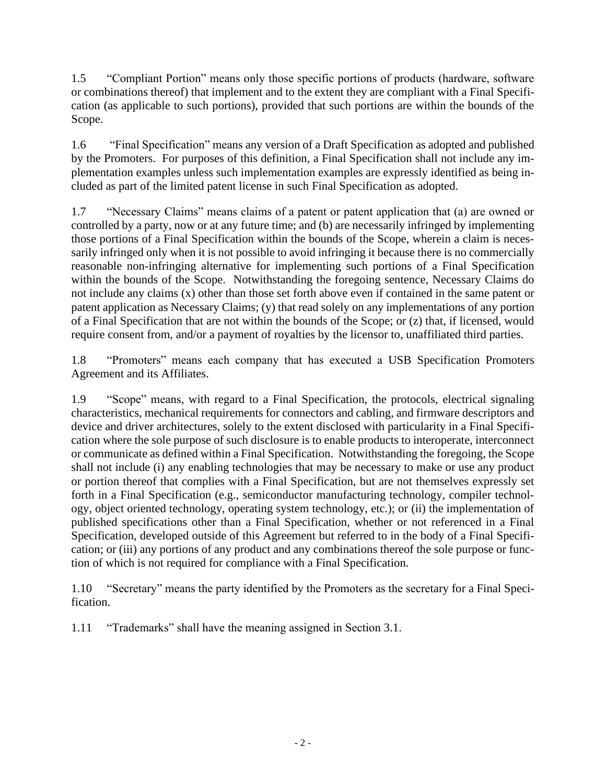1.5 "Compliant Portion" means only those specific portions of products (hardware, software or combinations thereof) that implement and to the extent they are compliant with a Final Specification (as applicable to such portions), provided that such portions are within the bounds of the Scope.

1.6 "Final Specification" means any version of a Draft Specification as adopted and published by the Promoters. For purposes of this definition, a Final Specification shall not include any implementation examples unless such implementation examples are expressly identified as being included as part of the limited patent license in such Final Specification as adopted.

1.7 "Necessary Claims" means claims of a patent or patent application that (a) are owned or controlled by a party, now or at any future time; and (b) are necessarily infringed by implementing those portions of a Final Specification within the bounds of the Scope, wherein a claim is necessarily infringed only when it is not possible to avoid infringing it because there is no commercially reasonable non-infringing alternative for implementing such portions of a Final Specification within the bounds of the Scope. Notwithstanding the foregoing sentence, Necessary Claims do not include any claims (x) other than those set forth above even if contained in the same patent or patent application as Necessary Claims; (y) that read solely on any implementations of any portion of a Final Specification that are not within the bounds of the Scope; or (z) that, if licensed, would require consent from, and/or a payment of royalties by the licensor to, unaffiliated third parties.

1.8 "Promoters" means each company that has executed a USB Specification Promoters Agreement and its Affiliates.

1.9 "Scope" means, with regard to a Final Specification, the protocols, electrical signaling characteristics, mechanical requirements for connectors and cabling, and firmware descriptors and device and driver architectures, solely to the extent disclosed with particularity in a Final Specification where the sole purpose of such disclosure is to enable products to interoperate, interconnect or communicate as defined within a Final Specification. Notwithstanding the foregoing, the Scope shall not include (i) any enabling technologies that may be necessary to make or use any product or portion thereof that complies with a Final Specification, but are not themselves expressly set forth in a Final Specification (e.g., semiconductor manufacturing technology, compiler technology, object oriented technology, operating system technology, etc.); or (ii) the implementation of published specifications other than a Final Specification, whether or not referenced in a Final Specification, developed outside of this Agreement but referred to in the body of a Final Specification; or (iii) any portions of any product and any combinations thereof the sole purpose or function of which is not required for compliance with a Final Specification.

1.10 "Secretary" means the party identified by the Promoters as the secretary for a Final Specification.

1.11 "Trademarks" shall have the meaning assigned in Section 3.1.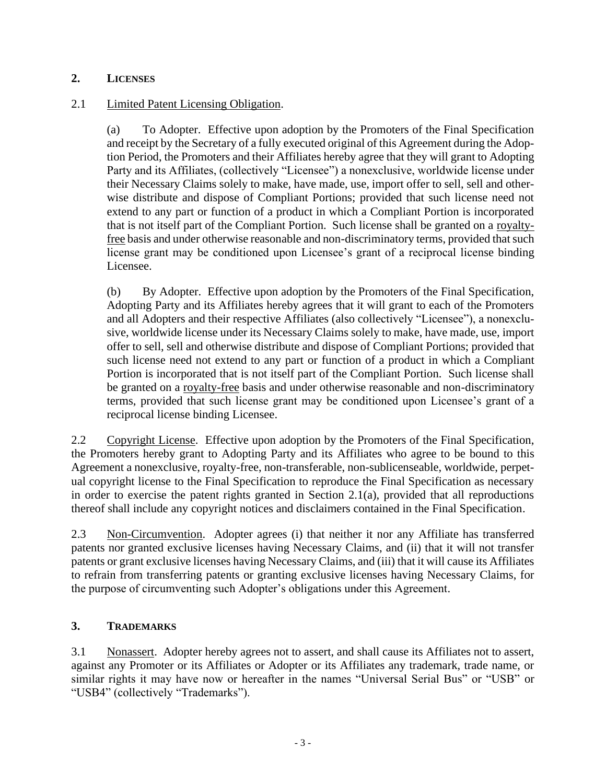## **2. LICENSES**

### 2.1 Limited Patent Licensing Obligation.

(a) To Adopter. Effective upon adoption by the Promoters of the Final Specification and receipt by the Secretary of a fully executed original of this Agreement during the Adoption Period, the Promoters and their Affiliates hereby agree that they will grant to Adopting Party and its Affiliates, (collectively "Licensee") a nonexclusive, worldwide license under their Necessary Claims solely to make, have made, use, import offer to sell, sell and otherwise distribute and dispose of Compliant Portions; provided that such license need not extend to any part or function of a product in which a Compliant Portion is incorporated that is not itself part of the Compliant Portion. Such license shall be granted on a royaltyfree basis and under otherwise reasonable and non-discriminatory terms, provided that such license grant may be conditioned upon Licensee's grant of a reciprocal license binding Licensee.

(b) By Adopter. Effective upon adoption by the Promoters of the Final Specification, Adopting Party and its Affiliates hereby agrees that it will grant to each of the Promoters and all Adopters and their respective Affiliates (also collectively "Licensee"), a nonexclusive, worldwide license under its Necessary Claims solely to make, have made, use, import offer to sell, sell and otherwise distribute and dispose of Compliant Portions; provided that such license need not extend to any part or function of a product in which a Compliant Portion is incorporated that is not itself part of the Compliant Portion. Such license shall be granted on a royalty-free basis and under otherwise reasonable and non-discriminatory terms, provided that such license grant may be conditioned upon Licensee's grant of a reciprocal license binding Licensee.

2.2 Copyright License. Effective upon adoption by the Promoters of the Final Specification, the Promoters hereby grant to Adopting Party and its Affiliates who agree to be bound to this Agreement a nonexclusive, royalty-free, non-transferable, non-sublicenseable, worldwide, perpetual copyright license to the Final Specification to reproduce the Final Specification as necessary in order to exercise the patent rights granted in Section 2.1(a), provided that all reproductions thereof shall include any copyright notices and disclaimers contained in the Final Specification.

2.3 Non-Circumvention. Adopter agrees (i) that neither it nor any Affiliate has transferred patents nor granted exclusive licenses having Necessary Claims, and (ii) that it will not transfer patents or grant exclusive licenses having Necessary Claims, and (iii) that it will cause its Affiliates to refrain from transferring patents or granting exclusive licenses having Necessary Claims, for the purpose of circumventing such Adopter's obligations under this Agreement.

# **3. TRADEMARKS**

3.1 Nonassert. Adopter hereby agrees not to assert, and shall cause its Affiliates not to assert, against any Promoter or its Affiliates or Adopter or its Affiliates any trademark, trade name, or similar rights it may have now or hereafter in the names "Universal Serial Bus" or "USB" or "USB4" (collectively "Trademarks").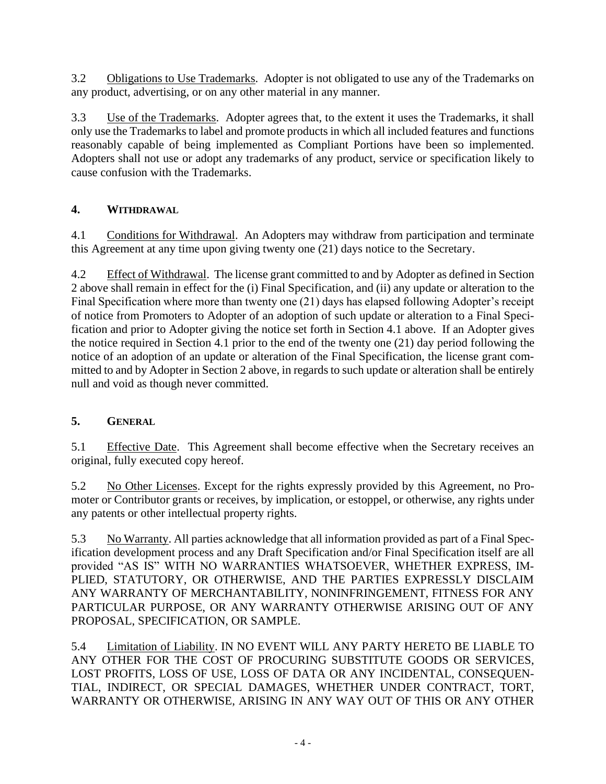3.2 Obligations to Use Trademarks. Adopter is not obligated to use any of the Trademarks on any product, advertising, or on any other material in any manner.

3.3 Use of the Trademarks. Adopter agrees that, to the extent it uses the Trademarks, it shall only use the Trademarks to label and promote products in which all included features and functions reasonably capable of being implemented as Compliant Portions have been so implemented. Adopters shall not use or adopt any trademarks of any product, service or specification likely to cause confusion with the Trademarks.

# **4. WITHDRAWAL**

4.1 Conditions for Withdrawal. An Adopters may withdraw from participation and terminate this Agreement at any time upon giving twenty one (21) days notice to the Secretary.

4.2 Effect of Withdrawal. The license grant committed to and by Adopter as defined in Section 2 above shall remain in effect for the (i) Final Specification, and (ii) any update or alteration to the Final Specification where more than twenty one (21) days has elapsed following Adopter's receipt of notice from Promoters to Adopter of an adoption of such update or alteration to a Final Specification and prior to Adopter giving the notice set forth in Section 4.1 above. If an Adopter gives the notice required in Section 4.1 prior to the end of the twenty one (21) day period following the notice of an adoption of an update or alteration of the Final Specification, the license grant committed to and by Adopter in Section 2 above, in regards to such update or alteration shall be entirely null and void as though never committed.

# **5. GENERAL**

5.1 Effective Date. This Agreement shall become effective when the Secretary receives an original, fully executed copy hereof.

5.2 No Other Licenses. Except for the rights expressly provided by this Agreement, no Promoter or Contributor grants or receives, by implication, or estoppel, or otherwise, any rights under any patents or other intellectual property rights.

5.3 No Warranty. All parties acknowledge that all information provided as part of a Final Specification development process and any Draft Specification and/or Final Specification itself are all provided "AS IS" WITH NO WARRANTIES WHATSOEVER, WHETHER EXPRESS, IM-PLIED, STATUTORY, OR OTHERWISE, AND THE PARTIES EXPRESSLY DISCLAIM ANY WARRANTY OF MERCHANTABILITY, NONINFRINGEMENT, FITNESS FOR ANY PARTICULAR PURPOSE, OR ANY WARRANTY OTHERWISE ARISING OUT OF ANY PROPOSAL, SPECIFICATION, OR SAMPLE.

5.4 Limitation of Liability. IN NO EVENT WILL ANY PARTY HERETO BE LIABLE TO ANY OTHER FOR THE COST OF PROCURING SUBSTITUTE GOODS OR SERVICES, LOST PROFITS, LOSS OF USE, LOSS OF DATA OR ANY INCIDENTAL, CONSEQUEN-TIAL, INDIRECT, OR SPECIAL DAMAGES, WHETHER UNDER CONTRACT, TORT, WARRANTY OR OTHERWISE, ARISING IN ANY WAY OUT OF THIS OR ANY OTHER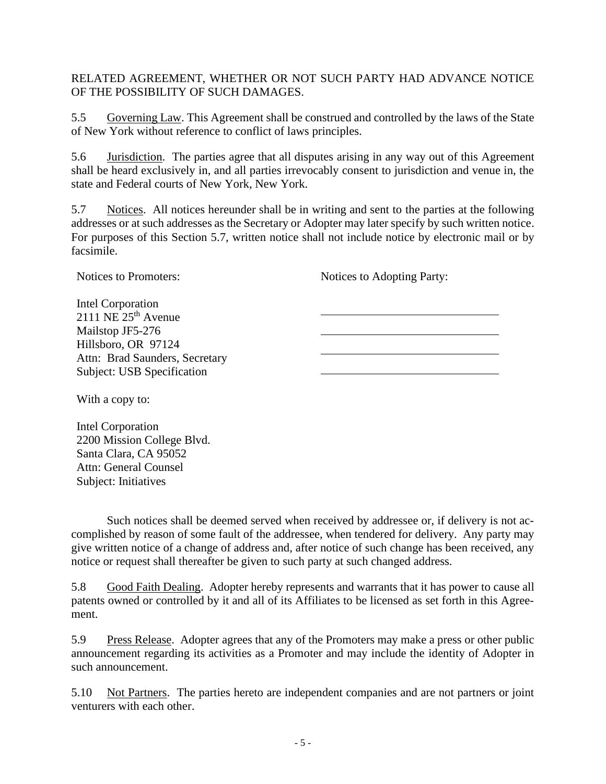RELATED AGREEMENT, WHETHER OR NOT SUCH PARTY HAD ADVANCE NOTICE OF THE POSSIBILITY OF SUCH DAMAGES.

5.5 Governing Law. This Agreement shall be construed and controlled by the laws of the State of New York without reference to conflict of laws principles.

5.6 Jurisdiction. The parties agree that all disputes arising in any way out of this Agreement shall be heard exclusively in, and all parties irrevocably consent to jurisdiction and venue in, the state and Federal courts of New York, New York.

5.7 Notices. All notices hereunder shall be in writing and sent to the parties at the following addresses or at such addresses as the Secretary or Adopter may later specify by such written notice. For purposes of this Section 5.7, written notice shall not include notice by electronic mail or by facsimile.

Notices to Adopting Party:

 $\overline{\phantom{a}}$ 

| Intel Corporation                 |  |
|-----------------------------------|--|
| 2111 NE $25th$ Avenue             |  |
| Mailstop JF5-276                  |  |
| Hillsboro, OR 97124               |  |
| Attn: Brad Saunders, Secretary    |  |
| <b>Subject: USB Specification</b> |  |
|                                   |  |

With a copy to:

Notices to Promoters:

Intel Corporation 2200 Mission College Blvd. Santa Clara, CA 95052 Attn: General Counsel Subject: Initiatives

Such notices shall be deemed served when received by addressee or, if delivery is not accomplished by reason of some fault of the addressee, when tendered for delivery. Any party may give written notice of a change of address and, after notice of such change has been received, any notice or request shall thereafter be given to such party at such changed address.

5.8 Good Faith Dealing. Adopter hereby represents and warrants that it has power to cause all patents owned or controlled by it and all of its Affiliates to be licensed as set forth in this Agreement.

5.9 Press Release. Adopter agrees that any of the Promoters may make a press or other public announcement regarding its activities as a Promoter and may include the identity of Adopter in such announcement.

5.10 Not Partners. The parties hereto are independent companies and are not partners or joint venturers with each other.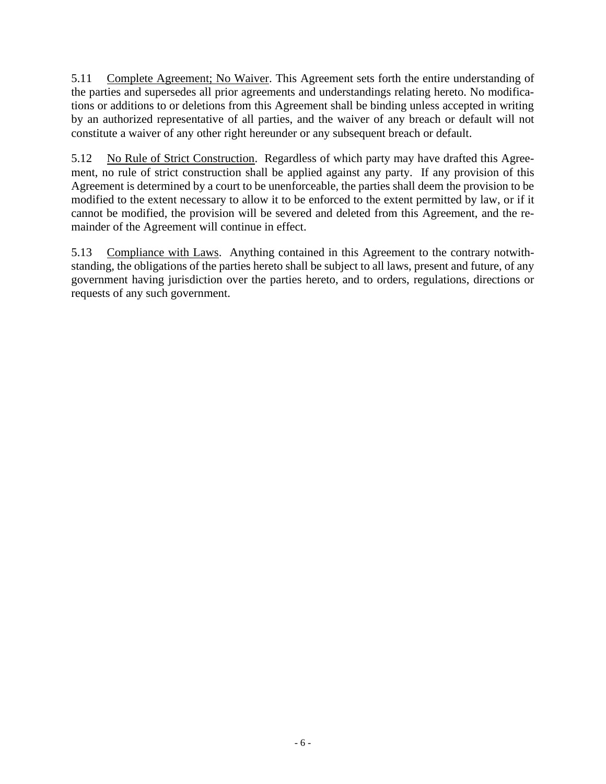5.11 Complete Agreement; No Waiver. This Agreement sets forth the entire understanding of the parties and supersedes all prior agreements and understandings relating hereto. No modifications or additions to or deletions from this Agreement shall be binding unless accepted in writing by an authorized representative of all parties, and the waiver of any breach or default will not constitute a waiver of any other right hereunder or any subsequent breach or default.

5.12 No Rule of Strict Construction. Regardless of which party may have drafted this Agreement, no rule of strict construction shall be applied against any party. If any provision of this Agreement is determined by a court to be unenforceable, the parties shall deem the provision to be modified to the extent necessary to allow it to be enforced to the extent permitted by law, or if it cannot be modified, the provision will be severed and deleted from this Agreement, and the remainder of the Agreement will continue in effect.

5.13 Compliance with Laws. Anything contained in this Agreement to the contrary notwithstanding, the obligations of the parties hereto shall be subject to all laws, present and future, of any government having jurisdiction over the parties hereto, and to orders, regulations, directions or requests of any such government.